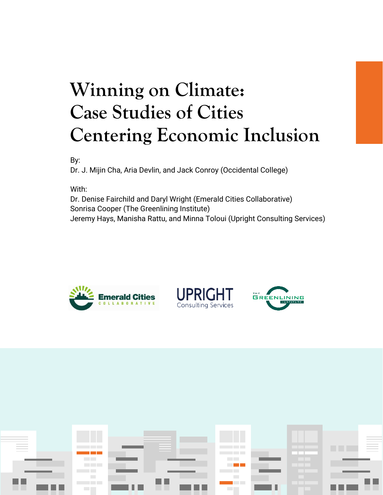# **Winning on Climate: Case Studies of Cities Centering Economic Inclusion**

By:

Dr. J. Mijin Cha, Aria Devlin, and Jack Conroy (Occidental College)

With:

Dr. Denise Fairchild and Daryl Wright (Emerald Cities Collaborative) Sonrisa Cooper (The Greenlining Institute) Jeremy Hays, Manisha Rattu, and Minna Toloui (Upright Consulting Services)







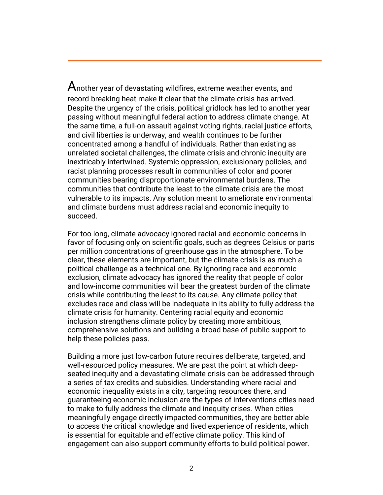Another year of devastating wildfires, extreme weather events, and record-breaking heat make it clear that the climate crisis has arrived. Despite the urgency of the crisis, political gridlock has led to another year passing without meaningful federal action to address climate change. At the same time, a full-on assault against voting rights, racial justice efforts, and civil liberties is underway, and wealth continues to be further concentrated among a handful of individuals. Rather than existing as unrelated societal challenges, the climate crisis and chronic inequity are inextricably intertwined. Systemic oppression, exclusionary policies, and racist planning processes result in communities of color and poorer communities bearing disproportionate environmental burdens. The communities that contribute the least to the climate crisis are the most vulnerable to its impacts. Any solution meant to ameliorate environmental and climate burdens must address racial and economic inequity to succeed.

For too long, climate advocacy ignored racial and economic concerns in favor of focusing only on scientific goals, such as degrees Celsius or parts per million concentrations of greenhouse gas in the atmosphere. To be clear, these elements are important, but the climate crisis is as much a political challenge as a technical one. By ignoring race and economic exclusion, climate advocacy has ignored the reality that people of color and low-income communities will bear the greatest burden of the climate crisis while contributing the least to its cause. Any climate policy that excludes race and class will be inadequate in its ability to fully address the climate crisis for humanity. Centering racial equity and economic inclusion strengthens climate policy by creating more ambitious, comprehensive solutions and building a broad base of public support to help these policies pass.

Building a more just low-carbon future requires deliberate, targeted, and well-resourced policy measures. We are past the point at which deepseated inequity and a devastating climate crisis can be addressed through a series of tax credits and subsidies. Understanding where racial and economic inequality exists in a city, targeting resources there, and guaranteeing economic inclusion are the types of interventions cities need to make to fully address the climate and inequity crises. When cities meaningfully engage directly impacted communities, they are better able to access the critical knowledge and lived experience of residents, which is essential for equitable and effective climate policy. This kind of engagement can also support community efforts to build political power.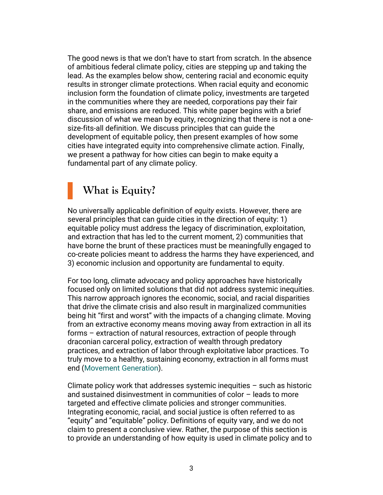The good news is that we don't have to start from scratch. In the absence of ambitious federal climate policy, cities are stepping up and taking the lead. As the examples below show, centering racial and economic equity results in stronger climate protections. When racial equity and economic inclusion form the foundation of climate policy, investments are targeted in the communities where they are needed, corporations pay their fair share, and emissions are reduced. This white paper begins with a brief discussion of what we mean by equity, recognizing that there is not a onesize-fits-all definition. We discuss principles that can guide the development of equitable policy, then present examples of how some cities have integrated equity into comprehensive climate action. Finally, we present a pathway for how cities can begin to make equity a fundamental part of any climate policy.

### **What is Equity?**

No universally applicable definition of *equity* exists. However, there are several principles that can guide cities in the direction of equity: 1) equitable policy must address the legacy of discrimination, exploitation, and extraction that has led to the current moment, 2) communities that have borne the brunt of these practices must be meaningfully engaged to co-create policies meant to address the harms they have experienced, and 3) economic inclusion and opportunity are fundamental to equity.

For too long, climate advocacy and policy approaches have historically focused only on limited solutions that did not address systemic inequities. This narrow approach ignores the economic, social, and racial disparities that drive the climate crisis and also result in marginalized communities being hit "first and worst" with the impacts of a changing climate. Moving from an extractive economy means moving away from extraction in all its forms – extraction of natural resources, extraction of people through draconian carceral policy, extraction of wealth through predatory practices, and extraction of labor through exploitative labor practices. To truly move to a healthy, sustaining economy, extraction in all forms must end [\(Movement Generation\)](https://movementgeneration.org/wp-content/uploads/2016/11/JT_booklet_English_SPREADs_web.pdf).

Climate policy work that addresses systemic inequities – such as historic and sustained disinvestment in communities of color – leads to more targeted and effective climate policies and stronger communities. Integrating economic, racial, and social justice is often referred to as "equity" and "equitable" policy. Definitions of equity vary, and we do not claim to present a conclusive view. Rather, the purpose of this section is to provide an understanding of how equity is used in climate policy and to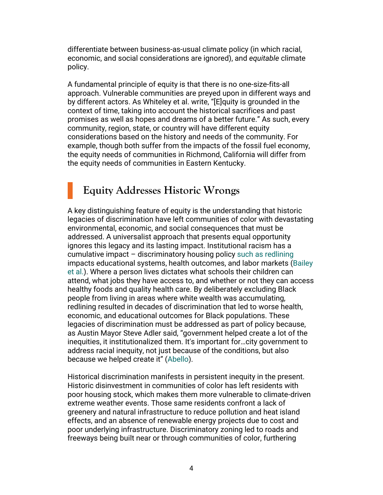differentiate between business-as-usual climate policy (in which racial, economic, and social considerations are ignored), and *equitable* climate policy.

A fundamental principle of equity is that there is no one-size-fits-all approach. Vulnerable communities are preyed upon in different ways and by different actors. As Whiteley et al. write, "[E]quity is grounded in the context of time, taking into account the historical sacrifices and past promises as well as hopes and dreams of a better future." As such, every community, region, state, or country will have different equity considerations based on the history and needs of the community. For example, though both suffer from the impacts of the fossil fuel economy, the equity needs of communities in Richmond, California will differ from the equity needs of communities in Eastern Kentucky.

### **Equity Addresses Historic Wrongs**

A key distinguishing feature of equity is the understanding that historic legacies of discrimination have left communities of color with devastating environmental, economic, and social consequences that must be addressed. A universalist approach that presents equal opportunity ignores this legacy and its lasting impact. Institutional racism has a cumulative impact – discriminatory housing policy [such as redlining](https://doi.org/10.1002/9781118568446.eurs0260) impacts educational systems, health outcomes, and labor markets [\(Bailey](https://www.thelancet.com/journals/lancet/article/PIIS0140-6736(17)30569-X/fulltext)  [et al.](https://www.thelancet.com/journals/lancet/article/PIIS0140-6736(17)30569-X/fulltext)). Where a person lives dictates what schools their children can attend, what jobs they have access to, and whether or not they can access healthy foods and quality health care. By deliberately excluding Black people from living in areas where white wealth was accumulating, redlining resulted in decades of discrimination that led to worse health, economic, and educational outcomes for Black populations. These legacies of discrimination must be addressed as part of policy because, as Austin Mayor Steve Adler said, "government helped create a lot of the inequities, it institutionalized them. It's important for…city government to address racial inequity, not just because of the conditions, but also because we helped create it" ([Abello\)](https://nextcity.org/urbanist-news/living-cities-racial-inequity).

Historical discrimination manifests in persistent inequity in the present. Historic disinvestment in communities of color has left residents with poor housing stock, which makes them more vulnerable to climate-driven extreme weather events. Those same residents confront a lack of greenery and natural infrastructure to reduce pollution and heat island effects, and an absence of renewable energy projects due to cost and poor underlying infrastructure. Discriminatory zoning led to roads and freeways being built near or through communities of color, furthering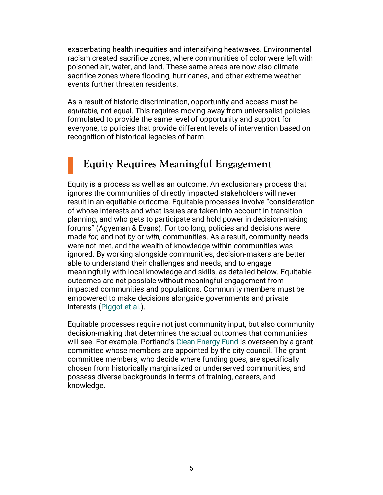exacerbating health inequities and intensifying heatwaves. Environmental racism created sacrifice zones, where communities of color were left with poisoned air, water, and land. These same areas are now also climate sacrifice zones where flooding, hurricanes, and other extreme weather events further threaten residents.

As a result of historic discrimination, opportunity and access must be *equitable,* not equal. This requires moving away from universalist policies formulated to provide the same level of opportunity and support for everyone, to policies that provide different levels of intervention based on recognition of historical legacies of harm.

## **Equity Requires Meaningful Engagement**

Equity is a process as well as an outcome. An exclusionary process that ignores the communities of directly impacted stakeholders will never result in an equitable outcome. Equitable processes involve "consideration of whose interests and what issues are taken into account in transition planning, and who gets to participate and hold power in decision-making forums" (Agyeman & Evans). For too long, policies and decisions were made *for,* and not *by* or *with,* communities. As a result, community needs were not met, and the wealth of knowledge within communities was ignored. By working alongside communities, decision-makers are better able to understand their challenges and needs, and to engage meaningfully with local knowledge and skills, as detailed below. Equitable outcomes are not possible without meaningful engagement from impacted communities and populations. Community members must be empowered to make decisions alongside governments and private interests [\(Piggot et al.\)](https://www.jstor.org/stable/pdf/resrep22996.pdf).

Equitable processes require not just community input, but also community decision-making that determines the actual outcomes that communities will see. For example, Portland's [Clean Energy Fund](https://www.portland.gov/bps/cleanenergy/news/2019/9/25/portland-city-council-votes-appoint-first-five-members-portland) is overseen by a grant committee whose members are appointed by the city council. The grant committee members, who decide where funding goes, are specifically chosen from historically marginalized or underserved communities, and possess diverse backgrounds in terms of training, careers, and knowledge.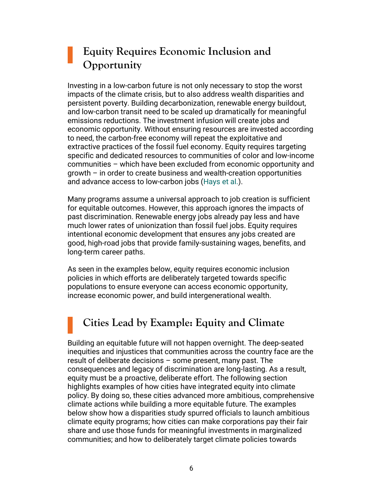### **Equity Requires Economic Inclusion and Opportunity**

Investing in a low-carbon future is not only necessary to stop the worst impacts of the climate crisis, but to also address wealth disparities and persistent poverty. Building decarbonization, renewable energy buildout, and low-carbon transit need to be scaled up dramatically for meaningful emissions reductions. The investment infusion will create jobs and economic opportunity. Without ensuring resources are invested according to need, the carbon-free economy will repeat the exploitative and extractive practices of the fossil fuel economy. Equity requires targeting specific and dedicated resources to communities of color and low-income communities – which have been excluded from economic opportunity and growth – in order to create business and wealth-creation opportunities and advance access to low-carbon jobs [\(Hays et al.](https://www.usdn.org/uploads/cms/documents/usdn_equity_and_buildings_framework_-_june_2021.pdf)).

Many programs assume a universal approach to job creation is sufficient for equitable outcomes. However, this approach ignores the impacts of past discrimination. Renewable energy jobs already pay less and have much lower rates of unionization than fossil fuel jobs. Equity requires intentional economic development that ensures any jobs created are good, high-road jobs that provide family-sustaining wages, benefits, and long-term career paths.

As seen in the examples below, equity requires economic inclusion policies in which efforts are deliberately targeted towards specific populations to ensure everyone can access economic opportunity, increase economic power, and build intergenerational wealth.

# **Cities Lead by Example: Equity and Climate**

Building an equitable future will not happen overnight. The deep-seated inequities and injustices that communities across the country face are the result of deliberate decisions – some present, many past. The consequences and legacy of discrimination are long-lasting. As a result, equity must be a proactive, deliberate effort. The following section highlights examples of how cities have integrated equity into climate policy. By doing so, these cities advanced more ambitious, comprehensive climate actions while building a more equitable future. The examples below show how a disparities study spurred officials to launch ambitious climate equity programs; how cities can make corporations pay their fair share and use those funds for meaningful investments in marginalized communities; and how to deliberately target climate policies towards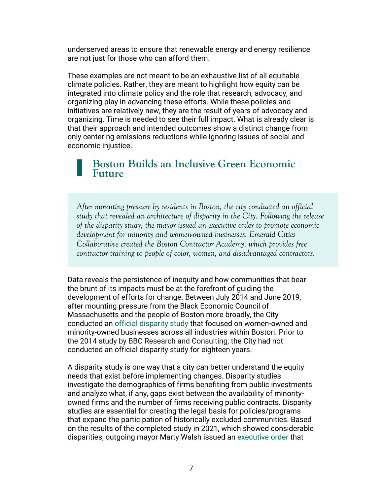underserved areas to ensure that renewable energy and energy resilience are not just for those who can afford them.

These examples are not meant to be an exhaustive list of all equitable climate policies. Rather, they are meant to highlight how equity can be integrated into climate policy and the role that research, advocacy, and organizing play in advancing these efforts. While these policies and initiatives are relatively new, they are the result of years of advocacy and organizing. Time is needed to see their full impact. What is already clear is that their approach and intended outcomes show a distinct change from only centering emissions reductions while ignoring issues of social and economic injustice.

#### **Boston Builds an Inclusive Green Economic Future**

*After mounting pressure by residents in Boston, the city conducted an official study that revealed an architecture of disparity in the City. Following the release of the disparity study, the mayor issued an executive order to promote economic development for minority and women-owned businesses. Emerald Cities Collaborative created the Boston Contractor Academy, which provides free contractor training to people of color, women, and disadvantaged contractors.*

Data reveals the persistence of inequity and how communities that bear the brunt of its impacts must be at the forefront of guiding the development of efforts for change. Between July 2014 and June 2019, after mounting pressure from the Black Economic Council of Massachusetts and the people of Boston more broadly, the City conducted an [official disparity study](https://www.boston.gov/economic-development/disparity-study-tool-towards-equitable-procurement) that focused on women-owned and minority-owned businesses across all industries within Boston. Prior to the 2014 study by BBC Research and Consulting, the City had not conducted an official disparity study for eighteen years.

A disparity study is one way that a city can better understand the equity needs that exist before implementing changes. Disparity studies investigate the demographics of firms benefiting from public investments and analyze what, if any, gaps exist between the availability of minorityowned firms and the number of firms receiving public contracts. Disparity studies are essential for creating the legal basis for policies/programs that expand the participation of historically excluded communities. Based on the results of the completed study in 2021, which showed considerable disparities, outgoing mayor Marty Walsh issued an [executive order](https://www.boston.gov/news/disparity-study-completed-executive-order-signed-establishing-goals-minority-and-woman-owned) that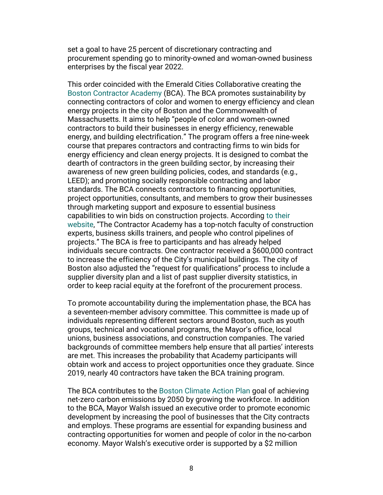set a goal to have 25 percent of discretionary contracting and procurement spending go to minority-owned and woman-owned business enterprises by the fiscal year 2022.

This order coincided with the Emerald Cities Collaborative creating the [Boston Contractor Academy](https://e-contractoracademy.com/boston) (BCA). The BCA promotes sustainability by connecting contractors of color and women to energy efficiency and clean energy projects in the city of Boston and the Commonwealth of Massachusetts. It aims to help "people of color and women-owned contractors to build their businesses in energy efficiency, renewable energy, and building electrification." The program offers a free nine-week course that prepares contractors and contracting firms to win bids for energy efficiency and clean energy projects. It is designed to combat the dearth of contractors in the green building sector, by increasing their awareness of new green building policies, codes, and standards (e.g., LEED); and promoting socially responsible contracting and labor standards. The BCA connects contractors to financing opportunities, project opportunities, consultants, and members to grow their businesses through marketing support and exposure to essential business capabilities to win bids on construction projects. According to [their](https://e-contractoracademy.com/boston) [website](https://e-contractoracademy.com/boston), "The Contractor Academy has a top-notch faculty of construction experts, business skills trainers, and people who control pipelines of projects." The BCA is free to participants and has already helped individuals secure contracts. One contractor received a \$600,000 contract to increase the efficiency of the City's municipal buildings. The city of Boston also adjusted the "request for qualifications" process to include a supplier diversity plan and a list of past supplier diversity statistics, in order to keep racial equity at the forefront of the procurement process.

To promote accountability during the implementation phase, the BCA has a seventeen-member advisory committee. This committee is made up of individuals representing different sectors around Boston, such as youth groups, technical and vocational programs, the Mayor's office, local unions, business associations, and construction companies. The varied backgrounds of committee members help ensure that all parties' interests are met. This increases the probability that Academy participants will obtain work and access to project opportunities once they graduate. Since 2019, nearly 40 contractors have taken the BCA training program.

The BCA contributes to the [Boston Climate Action Plan](https://www.boston.gov/sites/default/files/embed/file/2019-10/city_of_boston_2019_climate_action_plan_update_4.pdf) goal of achieving net-zero carbon emissions by 2050 by growing the workforce. In addition to the BCA, Mayor Walsh issued an executive order to promote economic development by increasing the pool of businesses that the City contracts and employs. These programs are essential for expanding business and contracting opportunities for women and people of color in the no-carbon economy. Mayor Walsh's executive order is supported by a \$2 million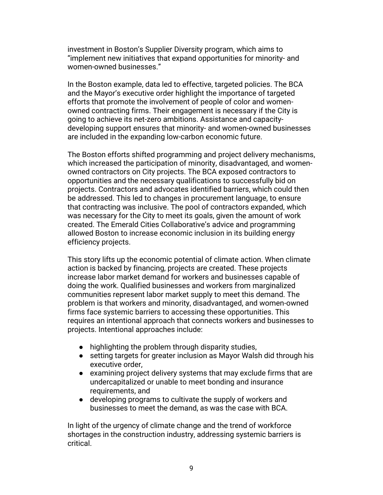investment in Boston's Supplier Diversity program, which aims to "implement new initiatives that expand opportunities for minority- and women-owned businesses."

In the Boston example, data led to effective, targeted policies. The BCA and the Mayor's executive order highlight the importance of targeted efforts that promote the involvement of people of color and womenowned contracting firms. Their engagement is necessary if the City is going to achieve its net-zero ambitions. Assistance and capacitydeveloping support ensures that minority- and women-owned businesses are included in the expanding low-carbon economic future.

The Boston efforts shifted programming and project delivery mechanisms, which increased the participation of minority, disadvantaged, and womenowned contractors on City projects. The BCA exposed contractors to opportunities and the necessary qualifications to successfully bid on projects. Contractors and advocates identified barriers, which could then be addressed. This led to changes in procurement language, to ensure that contracting was inclusive. The pool of contractors expanded, which was necessary for the City to meet its goals, given the amount of work created. The Emerald Cities Collaborative's advice and programming allowed Boston to increase economic inclusion in its building energy efficiency projects.

This story lifts up the economic potential of climate action. When climate action is backed by financing, projects are created. These projects increase labor market demand for workers and businesses capable of doing the work. Qualified businesses and workers from marginalized communities represent labor market supply to meet this demand. The problem is that workers and minority, disadvantaged, and women-owned firms face systemic barriers to accessing these opportunities. This requires an intentional approach that connects workers and businesses to projects. Intentional approaches include:

- highlighting the problem through disparity studies,
- setting targets for greater inclusion as Mayor Walsh did through his executive order,
- examining project delivery systems that may exclude firms that are undercapitalized or unable to meet bonding and insurance requirements, and
- developing programs to cultivate the supply of workers and businesses to meet the demand, as was the case with BCA.

In light of the urgency of climate change and the trend of workforce shortages in the construction industry, addressing systemic barriers is critical.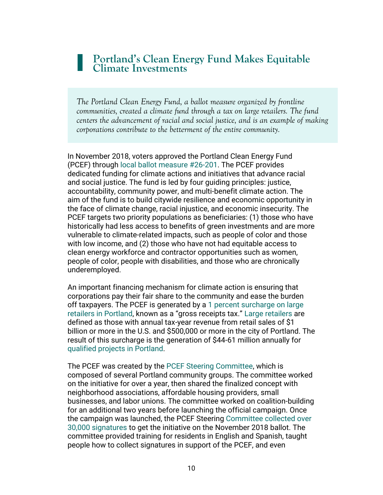#### **Portland's Clean Energy Fund Makes Equitable Climate Investments**

*The Portland Clean Energy Fund, a ballot measure organized by frontline communities, created a climate fund through a tax on large retailers. The fund centers the advancement of racial and social justice, and is an example of making corporations contribute to the betterment of the entire community.*

In November 2018, voters approved the Portland Clean Energy Fund (PCEF) through [local ballot measure #26-201.](https://www.portland.gov/bps/cleanenergy/about) The PCEF provides dedicated funding for climate actions and initiatives that advance racial and social justice. The fund is led by four guiding principles: justice, accountability, community power, and multi-benefit climate action. The aim of the fund is to build citywide resilience and economic opportunity in the face of climate change, racial injustice, and economic insecurity. The PCEF targets two priority populations as beneficiaries: (1) those who have historically had less access to benefits of green investments and are more vulnerable to climate-related impacts, such as people of color and those with low income, and (2) those who have not had equitable access to clean energy workforce and contractor opportunities such as women, people of color, people with disabilities, and those who are chronically underemployed.

An important financing mechanism for climate action is ensuring that corporations pay their fair share to the community and ease the burden off taxpayers. The PCEF is generated by a [1 percent surcharge on large](https://www.mossadams.com/articles/2019/november/portland-clean-energy-surcharge)  [retailers in Portland](https://www.mossadams.com/articles/2019/november/portland-clean-energy-surcharge), known as a "gross receipts tax." [Large retailers](https://www.portland.gov/bps/cleanenergy/about) are defined as those with annual tax-year revenue from retail sales of \$1 billion or more in the U.S. and \$500,000 or more in the city of Portland. The result of this surcharge is the generation of \$44-61 million annually for [qualified projects in Portland.](https://www.portland.gov/bps/cleanenergy/about)

The PCEF was created by the [PCEF Steering Committee,](https://www.youtube.com/watch?v=TtDCvGmThKs&t=571s) which is composed of several Portland community groups. The committee worked on the initiative for over a year, then shared the finalized concept with neighborhood associations, affordable housing providers, small businesses, and labor unions. The committee worked on coalition-building for an additional two years before launching the official campaign. Once the campaign was launched, the PCEF Steering Committee [collected over](https://www.youtube.com/watch?v=TtDCvGmThKs&t=571s)  [30,000 signatures](https://www.youtube.com/watch?v=TtDCvGmThKs&t=571s) to get the initiative on the November 2018 ballot. The committee provided training for residents in English and Spanish, taught people how to collect signatures in support of the PCEF, and even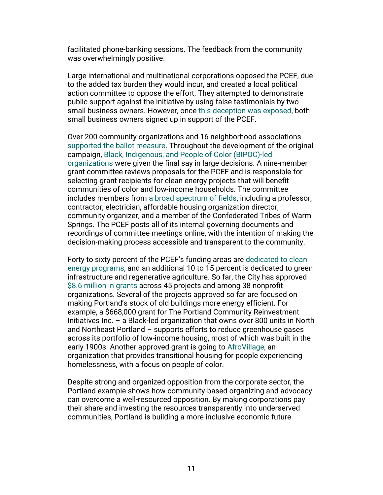facilitated phone-banking sessions. The feedback from the community was overwhelmingly positive.

Large international and multinational corporations opposed the PCEF, due to the added tax burden they would incur, and created a local political action committee to oppose the effort. They attempted to demonstrate public support against the initiative by using false testimonials by two small business owners. However, once [this deception was exposed,](https://www.youtube.com/watch?v=TtDCvGmThKs&t=571s) both small business owners signed up in support of the PCEF.

Over 200 community organizations and 16 neighborhood associations [supported the ballot measure.](https://www.portland.gov/bps/cleanenergy/about) Throughout the development of the original campaign, Black, Indigenous, and [People of Color \(BIPOC\)-led](https://portlandcleanenergyfund.org/campaign-report-toolkit)  [organizations](https://portlandcleanenergyfund.org/campaign-report-toolkit) were given the final say in large decisions. A nine-member grant committee reviews proposals for the PCEF and is responsible for selecting grant recipients for clean energy projects that will benefit communities of color and low-income households. The committee includes members from [a broad spectrum of fields,](https://www.portland.gov/bps/cleanenergy/grant-committee/about) including a professor, contractor, electrician, affordable housing organization director, community organizer, and a member of the Confederated Tribes of Warm Springs. The PCEF posts all of its internal governing documents and recordings of committee meetings online, with the intention of making the decision-making process accessible and transparent to the community.

Forty to sixty percent of the PCEF's funding areas are [dedicated to clean](https://www.portland.gov/bps/cleanenergy/about) [energy programs,](https://www.portland.gov/bps/cleanenergy/about) and an additional 10 to 15 percent is dedicated to green infrastructure and regenerative agriculture. So far, the City has approved [\\$8.6 million in grants](https://www.opb.org/article/2021/04/02/portland-clean-energy-fund-rolls-out-first-round-of-grants/) across 45 projects and among 38 nonprofit organizations. Several of the projects approved so far are focused on making Portland's stock of old buildings more energy efficient. For example, a \$668,000 grant for The Portland Community Reinvestment Initiatives Inc. – a Black-led organization that owns over 800 units in North and Northeast Portland – supports efforts to reduce greenhouse gases across its portfolio of low-income housing, most of which was built in the early 1900s. Another approved grant is going to [AfroVillage,](https://www.afrovillagepdx.org/about-3) an organization that provides transitional housing for people experiencing homelessness, with a focus on people of color.

Despite strong and organized opposition from the corporate sector, the Portland example shows how community-based organizing and advocacy can overcome a well-resourced opposition. By making corporations pay their share and investing the resources transparently into underserved communities, Portland is building a more inclusive economic future.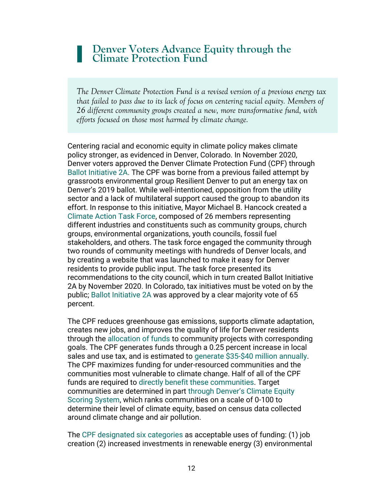#### **Denver Voters Advance Equity through the Climate Protection Fund**

*The Denver Climate Protection Fund is a revised version of a previous energy tax that failed to pass due to its lack of focus on centering racial equity. Members of 26 different community groups created a new, more transformative fund, with efforts focused on those most harmed by climate change.* 

Centering racial and economic equity in climate policy makes climate policy stronger, as evidenced in Denver, Colorado. In November 2020, Denver voters approved the Denver Climate Protection Fund (CPF) through [Ballot Initiative 2A.](https://denvergov.org/Government/Agencies-Departments-Offices/Agencies-Departments-Offices-Directory/Climate-Action-Sustainability-Resiliency/Climate-Protection-Fund) The CPF was borne from a previous failed attempt by grassroots environmental group Resilient Denver to put an energy tax on Denver's 2019 ballot. While well-intentioned, opposition from the utility sector and a lack of multilateral support caused the group to abandon its effort. In response to this initiative, Mayor Michael B. Hancock created a [Climate Action Task Force,](https://www.denvergov.org/Government/Agencies-Departments-Offices/Agencies-Departments-Offices-Directory/Climate-Action-Sustainability-Resiliency/Climate-Action/Climate-Action-Stakeholder-Process) composed of 26 members representing different industries and constituents such as community groups, church groups, environmental organizations, youth councils, fossil fuel stakeholders, and others. The task force engaged the community through two rounds of community meetings with hundreds of Denver locals, and by creating a website that was launched to make it easy for Denver residents to provide public input. The task force presented its recommendations to the city council, which in turn created Ballot Initiative 2A by November 2020. In Colorado, tax initiatives must be voted on by the public; [Ballot Initiative 2A](https://www.denvergov.org/files/assets/public/climate-action/cpf_fiveyearplan_final.pdf) was approved by a clear majority vote of 65 percent.

The CPF reduces greenhouse gas emissions, supports climate adaptation, creates new jobs, and improves the quality of life for Denver residents through the [allocation of funds](https://www.denvergov.org/Government/Agencies-Departments-Offices/Agencies-Departments-Offices-Directory/Climate-Action-Sustainability-Resiliency/Climate-Protection-Fund) to community projects with corresponding goals. The CPF generates funds through a 0.25 percent increase in local sales and use tax, and is estimated to [generate \\$35-\\$40 million annually.](https://denvergov.org/files/assets/public/climate-action/documents/cpf/cpf-presentation-4-29-21.pdf) The CPF maximizes funding for under-resourced communities and the communities most vulnerable to climate change. Half of all of the CPF funds are required to [directly benefit these communities.](https://www.denvergov.org/content/dam/denvergov/Portals/779/documents/climate-protection-fund/Bill%2020-0684.pdf) Target communities are determined in part through [Denver's Climate Equity](https://www.denvergov.org/files/assets/public/climate-action/cpf_fiveyearplan_final.pdf)  [Scoring System,](https://www.denvergov.org/files/assets/public/climate-action/cpf_fiveyearplan_final.pdf) which ranks communities on a scale of 0-100 to determine their level of climate equity, based on census data collected around climate change and air pollution.

The [CPF designated six categories](https://www.denvergov.org/files/assets/public/climate-action/cpf_fiveyearplan_final.pdf) as acceptable uses of funding: (1) job creation (2) increased investments in renewable energy (3) environmental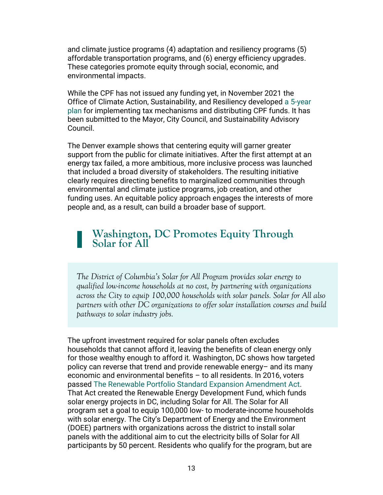and climate justice programs (4) adaptation and resiliency programs (5) affordable transportation programs, and (6) energy efficiency upgrades. These categories promote equity through social, economic, and environmental impacts.

While the CPF has not issued any funding yet, in November 2021 the Office of Climate Action, Sustainability, and Resiliency develope[d](https://www.denvergov.org/Government/Agencies-Departments-Offices/Agencies-Departments-Offices-Directory/Climate-Action-Sustainability-Resiliency/About/Equity) [a 5-year](https://www.denvergov.org/files/assets/public/climate-action/cpf_fiveyearplan_final.pdf)  [plan](https://www.denvergov.org/files/assets/public/climate-action/cpf_fiveyearplan_final.pdf) for implementing tax mechanisms and distributing CPF funds. It has been submitted to the Mayor, City Council, and Sustainability Advisory Council.

The Denver example shows that centering equity will garner greater support from the public for climate initiatives. After the first attempt at an energy tax failed, a more ambitious, more inclusive process was launched that included a broad diversity of stakeholders. The resulting initiative clearly requires directing benefits to marginalized communities through environmental and climate justice programs, job creation, and other funding uses. An equitable policy approach engages the interests of more people and, as a result, can build a broader base of support.

#### **Washington, DC Promotes Equity Through Solar for All**

*The District of Columbia's Solar for All Program provides solar energy to qualified low-income households at no cost, by partnering with organizations across the City to equip 100,000 households with solar panels. Solar for All also partners with other DC organizations to offer solar installation courses and build pathways to solar industry jobs.* 

The upfront investment required for solar panels often excludes households that cannot afford it, leaving the benefits of clean energy only for those wealthy enough to afford it. Washington, DC shows how targeted policy can reverse that trend and provide renewable energy– and its many economic and environmental benefits – to all residents. In 2016, voters passed [The Renewable Portfolio Standard Expansion Amendment Act.](https://code.dccouncil.us/us/dc/council/laws/21-154) That Act created the Renewable Energy Development Fund, which funds solar energy projects in DC, including Solar for All. The Solar for All program set a goal to equip 100,000 low- to moderate-income households with solar energy. The City's Department of Energy and the Environment (DOEE) partners with organizations across the district to install solar panels with the additional aim to cut the electricity bills of Solar for All participants by 50 percent. Residents who qualify for the program, but are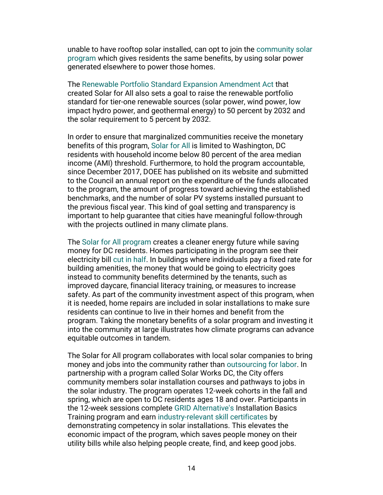unable to have rooftop solar installed, can opt to join the [community solar](https://doee.dc.gov/solarforall)  [program](https://doee.dc.gov/solarforall) which gives residents the same benefits, by using solar power generated elsewhere to power those homes.

The [Renewable Portfolio Standard Expansion Amendment Act](https://doee.dc.gov/sites/default/files/dc/sites/ddoe/service_content/attachments/RENEWABLE%20PORTFOLIO%20STANDARD%20EXPANSION%20AMENDMENT%20ACT%20OF%202016,%20DC%20Law%2021-154%20(eff%2010-8-16).pdf) that created Solar for All also sets a goal to raise the renewable portfolio standard for tier-one renewable sources (solar power, wind power, low impact hydro power, and geothermal energy) to 50 percent by 2032 and the solar requirement to 5 percent by 2032.

In order to ensure that marginalized communities receive the monetary benefits of this program, [Solar for All](https://doee.dc.gov/solarforall) is limited to Washington, DC residents with household income below 80 percent of the area median income (AMI) threshold. Furthermore, to hold the program accountable, since December 2017, DOEE has published on its website and submitted to the Council an annual report on the expenditure of the funds allocated to the program, the amount of progress toward achieving the established benchmarks, and the number of solar PV systems installed pursuant to the previous fiscal year. This kind of goal setting and transparency is important to help guarantee that cities have meaningful follow-through with the projects outlined in many climate plans.

The [Solar for All program](https://vimeo.com/391203375) creates a cleaner energy future while saving money for DC residents. Homes participating in the program see their electricity bill [cut in half.](https://doee.dc.gov/service/solar-initiatives) In buildings where individuals pay a fixed rate for building amenities, the money that would be going to electricity goes instead to community benefits determined by the tenants, such as improved daycare, financial literacy training, or measures to increase safety. As part of the community investment aspect of this program, when it is needed, home repairs are included in solar installations to make sure residents can continue to live in their homes and benefit from the program. Taking the monetary benefits of a solar program and investing it into the community at large illustrates how climate programs can advance equitable outcomes in tandem.

The Solar for All program collaborates with local solar companies to bring money and jobs into the community rather than [outsourcing for labor.](https://doee.dc.gov/service/solar-initiatives) In partnership with a program called Solar Works DC, the City offers community members solar installation courses and pathways to jobs in the solar industry. The program operates 12-week cohorts in the fall and spring, which are open to DC residents ages 18 and over. Participants in the 12-week sessions complete [GRID Alternative's](https://gridalternatives.org/about) Installation Basics Training program and earn [industry-relevant skill certificates](https://doee.dc.gov/sites/default/files/dc/sites/ddoe/service_content/attachments/FY%202019%20Anual%20Report%281%29.pdf) by demonstrating competency in solar installations. This elevates the economic impact of the program, which saves people money on their utility bills while also helping people create, find, and keep good jobs.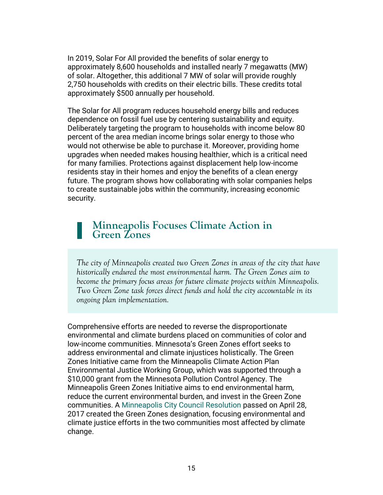In 2019, Solar For All provided the benefits of solar energy to approximately 8,600 households and installed nearly 7 megawatts (MW) of solar. Altogether, this additional 7 MW of solar will provide roughly 2,750 households with credits on their electric bills. These credits total approximately \$500 annually per household.

The Solar for All program reduces household energy bills and reduces dependence on fossil fuel use by centering sustainability and equity. Deliberately targeting the program to households with income below 80 percent of the area median income brings solar energy to those who would not otherwise be able to purchase it. Moreover, providing home upgrades when needed makes housing healthier, which is a critical need for many families. Protections against displacement help low-income residents stay in their homes and enjoy the benefits of a clean energy future. The program shows how collaborating with solar companies helps to create sustainable jobs within the community, increasing economic security.

#### **Minneapolis Focuses Climate Action in Green Zones**

*The city of Minneapolis created two Green Zones in areas of the city that have historically endured the most environmental harm. The Green Zones aim to become the primary focus areas for future climate projects within Minneapolis. Two Green Zone task forces direct funds and hold the city accountable in its ongoing plan implementation.* 

Comprehensive efforts are needed to reverse the disproportionate environmental and climate burdens placed on communities of color and low-income communities. Minnesota's Green Zones effort seeks to address environmental and climate injustices holistically. The Green Zones Initiative came from the Minneapolis Climate Action Plan Environmental Justice Working Group, which was supported through a \$10,000 grant from the Minnesota Pollution Control Agency. The Minneapolis Green Zones Initiative aims to end environmental harm, reduce the current environmental burden, and invest in the Green Zone communities. A [Minneapolis](https://www2.minneapolismn.gov/government/departments/coordinator/sustainability/policies/green-zones-initiative/) [City Council Resolution](https://www2.minneapolismn.gov/government/departments/coordinator/sustainability/policies/green-zones-initiative/) passed on April 28, 2017 created the Green Zones designation, focusing environmental and climate justice efforts in the two communities most affected by climate change.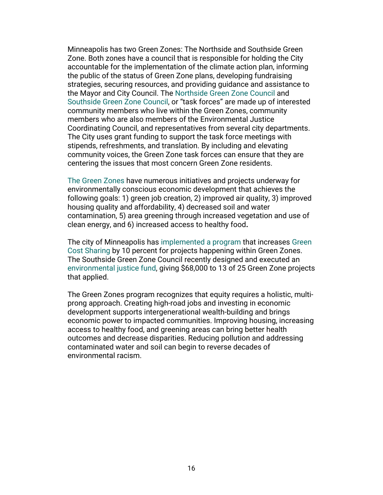Minneapolis has two Green Zones: The Northside and Southside Green Zone. Both zones have a council that is responsible for holding the City accountable for the implementation of the climate action plan, informing the public of the status of Green Zone plans, developing fundraising strategies, securing resources, and providing guidance and assistance to the Mayor and City Council. The [Northside Green Zone Council](https://lims.minneapolismn.gov/Boards/ngz) and [Southside Green Zone Council,](https://lims.minneapolismn.gov/Boards/sgz) or ["task forces"](https://lims.minneapolismn.gov/Boards/ngz) are made up of interested community members who live within the Green Zones, community members who are also members of the Environmental Justice Coordinating Council, and representatives from several city departments. The City uses grant funding to support the task force meetings with stipends, refreshments, and translation. By including and elevating community voices, the Green Zone task forces can ensure that they are centering the issues that most concern Green Zone residents.

[The Green Zones](https://www2.minneapolismn.gov/government/departments/coordinator/sustainability/policies/green-zones-initiative/green-zones-common-questions/) have numerous initiatives and projects underway for environmentally conscious economic development that achieves the following goals: 1) green job creation, 2) improved air quality, 3) improved housing quality and affordability, 4) decreased soil and water contamination, 5) area greening through increased vegetation and use of clean energy, and 6) increased access to healthy food**.**

The city of Minneapolis has [implemented a program](https://www2.minneapolismn.gov/government/departments/coordinator/sustainability/policies/green-zones-initiative/green-zones-common-questions/) that increases [Green](https://www2.minneapolismn.gov/government/programs-initiatives/environmental-programs/green-cost-share/)  [Cost Sharing](https://www2.minneapolismn.gov/government/programs-initiatives/environmental-programs/green-cost-share/) by 10 percent for projects happening within Green Zones. The Southside Green Zone Council recently designed and executed an [environmental justice fund,](https://www2.minneapolismn.gov/media/content-assets/www2-documents/departments/Achieving-Climate-and-Environmental-Justice-in-the-Southside-Green-Zone.pdf) giving \$68,000 to 13 of 25 Green Zone projects that applied.

The Green Zones program recognizes that equity requires a holistic, multiprong approach. Creating high-road jobs and investing in economic development supports intergenerational wealth-building and brings economic power to impacted communities. Improving housing, increasing access to healthy food, and greening areas can bring better health outcomes and decrease disparities. Reducing pollution and addressing contaminated water and soil can begin to reverse decades of environmental racism.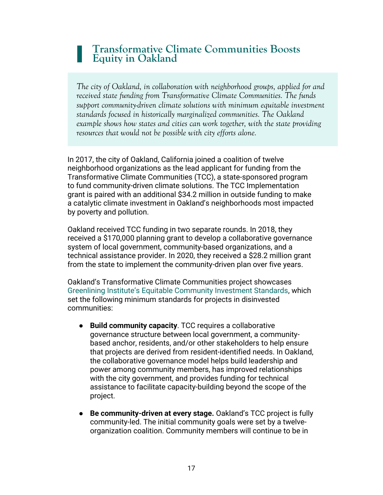#### **Transformative Climate Communities Boosts Equity in Oakland**

*The city of Oakland, in collaboration with neighborhood groups, applied for and received state funding from Transformative Climate Communities. The funds support community-driven climate solutions with minimum equitable investment standards focused in historically marginalized communities. The Oakland example shows how states and cities can work together, with the state providing resources that would not be possible with city efforts alone.*

In 2017, the city of Oakland, California joined a coalition of twelve neighborhood organizations as the lead applicant for funding from the Transformative Climate Communities (TCC), a state-sponsored program to fund community-driven climate solutions. The TCC Implementation grant is paired with an additional \$34.2 million in outside funding to make a catalytic climate investment in Oakland's neighborhoods most impacted by poverty and pollution.

Oakland received TCC funding in two separate rounds. In 2018, they received a \$170,000 planning grant to develop a collaborative governance system of local government, community-based organizations, and a technical assistance provider. In 2020, they received a \$28.2 million grant from the state to implement the community-driven plan over five years.

Oakland's Transformative Climate Communities project showcases [Greenlining Institute's Equitable Community Investment Standards](https://greenlining.org/wp-content/uploads/2020/09/Greenlined-Economy-Guidebook-2020.pdf), which set the following minimum standards for projects in disinvested communities:

- **Build community capacity**. TCC requires a collaborative governance structure between local government, a communitybased anchor, residents, and/or other stakeholders to help ensure that projects are derived from resident-identified needs. In Oakland, the collaborative governance model helps build leadership and power among community members, has improved relationships with the city government, and provides funding for technical assistance to facilitate capacity-building beyond the scope of the project.
- **Be community-driven at every stage.** Oakland's TCC project is fully community-led. The initial community goals were set by a twelveorganization coalition. Community members will continue to be in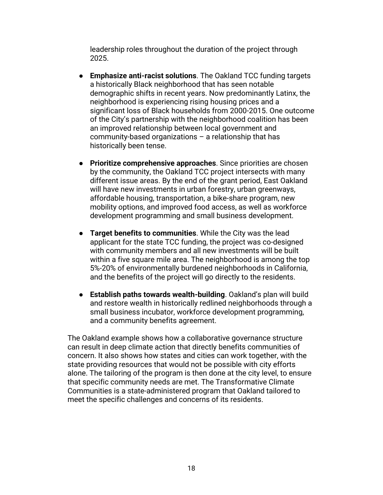leadership roles throughout the duration of the project through 2025.

- **Emphasize anti-racist solutions**. The Oakland TCC funding targets a historically Black neighborhood that has seen notable demographic shifts in recent years. Now predominantly Latinx, the neighborhood is experiencing rising housing prices and a significant loss of Black households from 2000-2015. One outcome of the City's partnership with the neighborhood coalition has been an improved relationship between local government and community-based organizations – a relationship that has historically been tense.
- **Prioritize comprehensive approaches**. Since priorities are chosen by the community, the Oakland TCC project intersects with many different issue areas. By the end of the grant period, East Oakland will have new investments in urban forestry, urban greenways, affordable housing, transportation, a bike-share program, new mobility options, and improved food access, as well as workforce development programming and small business development.
- **Target benefits to communities**. While the City was the lead applicant for the state TCC funding, the project was co-designed with community members and all new investments will be built within a five square mile area. The neighborhood is among the top 5%-20% of environmentally burdened neighborhoods in California, and the benefits of the project will go directly to the residents.
- **Establish paths towards wealth-building**. Oakland's plan will build and restore wealth in historically redlined neighborhoods through a small business incubator, workforce development programming, and a community benefits agreement.

The Oakland example shows how a collaborative governance structure can result in deep climate action that directly benefits communities of concern. It also shows how states and cities can work together, with the state providing resources that would not be possible with city efforts alone. The tailoring of the program is then done at the city level, to ensure that specific community needs are met. The Transformative Climate Communities is a state-administered program that Oakland tailored to meet the specific challenges and concerns of its residents.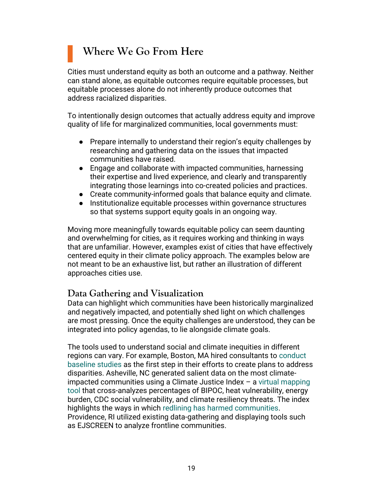## **Where We Go From Here**

Cities must understand equity as both an outcome and a pathway. Neither can stand alone, as equitable outcomes require equitable processes, but equitable processes alone do not inherently produce outcomes that address racialized disparities.

To intentionally design outcomes that actually address equity and improve quality of life for marginalized communities, local governments must:

- Prepare internally to understand their region's equity challenges by researching and gathering data on the issues that impacted communities have raised.
- Engage and collaborate with impacted communities, harnessing their expertise and lived experience, and clearly and transparently integrating those learnings into co-created policies and practices.
- Create community-informed goals that balance equity and climate.
- Institutionalize equitable processes within governance structures so that systems support equity goals in an ongoing way.

Moving more meaningfully towards equitable policy can seem daunting and overwhelming for cities, as it requires working and thinking in ways that are unfamiliar. However, examples exist of cities that have effectively centered equity in their climate policy approach. The examples below are not meant to be an exhaustive list, but rather an illustration of different approaches cities use.

#### **Data Gathering and Visualization**

Data can highlight which communities have been historically marginalized and negatively impacted, and potentially shed light on which challenges are most pressing. Once the equity challenges are understood, they can be integrated into policy agendas, to lie alongside climate goals.

The tools used to understand social and climate inequities in different regions can vary. For example, Boston, MA hired consultants to [conduct](https://www.paintsquare.com/news/?fuseaction=view&id=23428)  [baseline studies](https://www.paintsquare.com/news/?fuseaction=view&id=23428) as the first step in their efforts to create plans to address disparities. Asheville, NC generated salient data on the most climateimpacted communities using a Climate Justice Index – a [virtual mapping](https://arcg.is/maj4H)  [tool](https://arcg.is/maj4H) that cross-analyzes percentages of BIPOC, heat vulnerability, energy burden, CDC social vulnerability, and climate resiliency threats. The index highlights the ways in which [redlining has harmed communities.](https://mitpress.mit.edu/books/water-place-and-equity) Providence, RI utilized existing data-gathering and displaying tools such as EJSCREEN to analyze frontline communities.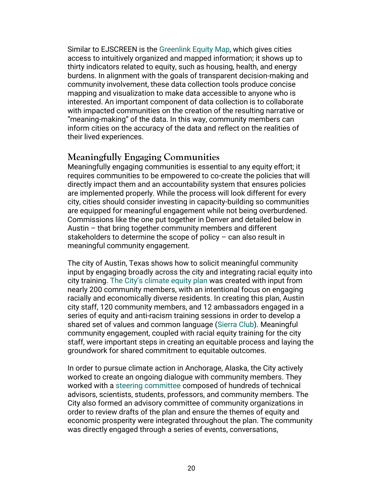Similar to EJSCREEN is the [Greenlink](https://www.equitymap.org/) [Equity Map,](https://www.equitymap.org/) which gives cities access to intuitively organized and mapped information; it shows up to thirty indicators related to equity, such as housing, health, and energy burdens. In alignment with the goals of transparent decision-making and community involvement, these data collection tools produce concise mapping and visualization to make data accessible to anyone who is interested. An important component of data collection is to collaborate with impacted communities on the creation of the resulting narrative or "meaning-making" of the data. In this way, community members can inform cities on the accuracy of the data and reflect on the realities of their lived experiences.

#### **Meaningfully Engaging Communities**

Meaningfully engaging communities is essential to any equity effort; it requires communities to be empowered to co-create the policies that will directly impact them and an accountability system that ensures policies are implemented properly. While the process will look different for every city, cities should consider investing in capacity-building so communities are equipped for meaningful engagement while not being overburdened. Commissions like the one put together in Denver and detailed below in Austin – that bring together community members and different stakeholders to determine the scope of policy – can also result in meaningful community engagement.

The city of Austin, Texas shows how to solicit meaningful community input by engaging broadly across the city and integrating racial equity into city training. [The City's climate equity plan](https://www.austintexas.gov/page/austin-climate-equity-plan) was created with input from nearly 200 community members, with an intentional focus on engaging racially and economically diverse residents. In creating this plan, Austin city staff, 120 community members, and 12 ambassadors engaged in a series of equity and anti-racism training sessions in order to develop a shared set of values and common language [\(Sierra Club\)](https://www.sierraclub.org/texas/blog/2021/09/austin-set-adopt-climate-equity-plan). Meaningful community engagement, coupled with racial equity training for the city staff, were important steps in creating an equitable process and laying the groundwork for shared commitment to equitable outcomes.

In order to pursue climate action in Anchorage, Alaska, the City actively worked to create an ongoing dialogue with community members. They worked with a [steering committee](https://www.muni.org/Departments/Mayor/AWARE/ResilientAnchorage/Documents/DRAFT%20Anchorage%20Climate%20Action%20Plan_PUBLIC%20COMMENT.pdf) composed of hundreds of technical advisors, scientists, students, professors, and community members. The City also formed an advisory committee of community organizations in order to review drafts of the plan and ensure the themes of equity and economic prosperity were integrated throughout the plan. The community was directly engaged through a series of events, conversations,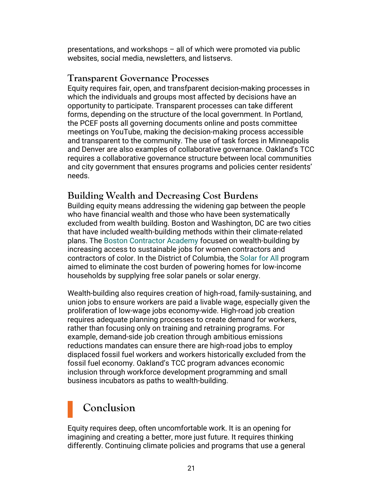presentations, and workshops – all of which were promoted via public websites, social media, newsletters, and listservs.

#### **Transparent Governance Processes**

Equity requires fair, open, and transfparent decision-making processes in which the individuals and groups most affected by decisions have an opportunity to participate. Transparent processes can take different forms, depending on the structure of the local government. In Portland, the PCEF posts all governing documents online and posts committee meetings on YouTube, making the decision-making process accessible and transparent to the community. The use of task forces in Minneapolis and Denver are also examples of collaborative governance. Oakland's TCC requires a collaborative governance structure between local communities and city government that ensures programs and policies center residents' needs.

#### **Building Wealth and Decreasing Cost Burdens**

Building equity means addressing the widening gap between the people who have financial wealth and those who have been systematically excluded from wealth building. Boston and Washington, DC are two cities that have included wealth-building methods within their climate-related plans. The [Boston Contractor Academy](https://e-contractoracademy.com/boston) focused on wealth-building by increasing access to sustainable jobs for women contractors and contractors of color. In the District of Columbia, the [Solar for All](https://vimeo.com/391203375) program aimed to eliminate the cost burden of powering homes for low-income households by supplying free solar panels or solar energy.

Wealth-building also requires creation of high-road, family-sustaining, and union jobs to ensure workers are paid a livable wage, especially given the proliferation of low-wage jobs economy-wide. High-road job creation requires adequate planning processes to create demand for workers, rather than focusing only on training and retraining programs. For example, demand-side job creation through ambitious emissions reductions mandates can ensure there are high-road jobs to employ displaced fossil fuel workers and workers historically excluded from the fossil fuel economy. Oakland's TCC program advances economic inclusion through workforce development programming and small business incubators as paths to wealth-building.

# **Conclusion**

Equity requires deep, often uncomfortable work. It is an opening for imagining and creating a better, more just future. It requires thinking differently. Continuing climate policies and programs that use a general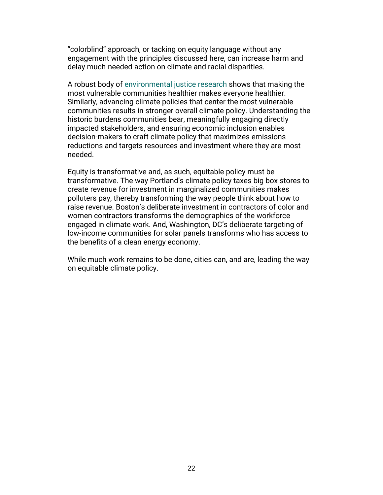"colorblind" approach, or tacking on equity language without any engagement with the principles discussed here, can increase harm and delay much-needed action on climate and racial disparities.

A robust body of [environmental justice research](https://doi.org/10.1111/j.1540-6237.2012.00874.x) shows that making the most vulnerable communities healthier makes everyone healthier. Similarly, advancing climate policies that center the most vulnerable communities results in stronger overall climate policy. Understanding the historic burdens communities bear, meaningfully engaging directly impacted stakeholders, and ensuring economic inclusion enables decision-makers to craft climate policy that maximizes emissions reductions and targets resources and investment where they are most needed.

Equity is transformative and, as such, equitable policy must be transformative. The way Portland's climate policy taxes big box stores to create revenue for investment in marginalized communities makes polluters pay, thereby transforming the way people think about how to raise revenue. Boston's deliberate investment in contractors of color and women contractors transforms the demographics of the workforce engaged in climate work. And, Washington, DC's deliberate targeting of low-income communities for solar panels transforms who has access to the benefits of a clean energy economy.

While much work remains to be done, cities can, and are, leading the way on equitable climate policy.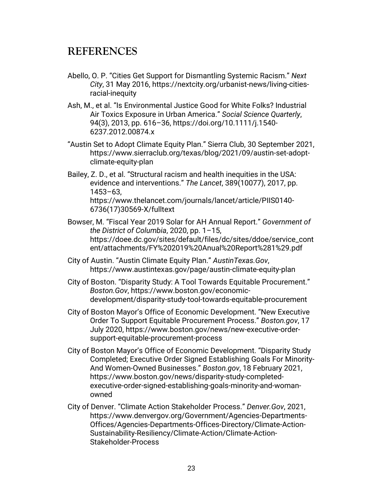#### **REFERENCES**

- Abello, O. P. "Cities Get Support for Dismantling Systemic Racism." *Next City*, 31 May 2016, https://nextcity.org/urbanist-news/living-citiesracial-inequity
- [Ash, M., et al.](https://www.zotero.org/google-docs/?zH3Vrd) ["](https://www.zotero.org/google-docs/?zH3Vrd)Is [Environmental Justice Good for White Folks? Industrial](https://www.zotero.org/google-docs/?zH3Vrd)  [Air Toxics Exposure in Urban America.](https://www.zotero.org/google-docs/?zH3Vrd)["](https://www.zotero.org/google-docs/?zH3Vrd) *[Social Science Quarterly](https://www.zotero.org/google-docs/?zH3Vrd)*[,](https://www.zotero.org/google-docs/?zH3Vrd)  [94\(3\), 2013, pp. 616](https://www.zotero.org/google-docs/?zH3Vrd)–3[6, h](https://www.zotero.org/google-docs/?zH3Vrd)ttps://doi.org/10.1111/j.1540- 6237.2012.00874.x
- "Austin Set to Adopt Climate Equity Plan." Sierra Club, 30 September 2021, https://www.sierraclub.org/texas/blog/2021/09/austin-set-adoptclimate-equity-plan
- Bailey, Z. D., et al. "Structural racism and health inequities in the USA: evidence and interventions." *The Lancet*, 389(10077), 2017, pp. 1453–63, https://www.thelancet.com/journals/lancet/article/PIIS0140- 6736(17)30569-X/fulltext
- [Bowser, M.](https://www.zotero.org/google-docs/?zH3Vrd) ["](https://www.zotero.org/google-docs/?zH3Vrd)[Fiscal Year 2019 Solar for AH Annual Report.](https://www.zotero.org/google-docs/?zH3Vrd)["](https://www.zotero.org/google-docs/?zH3Vrd) *[Government of](https://www.zotero.org/google-docs/?zH3Vrd)  [the District of Columbia](https://www.zotero.org/google-docs/?zH3Vrd)*[, 2020, pp. 1](https://www.zotero.org/google-docs/?zH3Vrd)–15, [https://doee.dc.gov/sites/default/files/dc/sites/ddoe/service\\_cont](https://www.zotero.org/google-docs/?zH3Vrd) [ent/attachments/FY%202019%20Anual%20Report%281%29.pdf](https://www.zotero.org/google-docs/?zH3Vrd)
- City of Austin. "Austin Climate Equity Plan." *AustinTexas.Gov*, https://www.austintexas.gov/page/austin-climate-equity-plan
- City of Boston. "Disparity Study: A Tool Towards Equitable Procurement." *Boston.Gov*, https://www.boston.gov/economicdevelopment/disparity-study-tool-towards-equitable-procurement
- City of Boston Mayor's Office of Economic Development. "New Executive Order To Support Equitable Procurement Process." *Boston.gov*, 17 July 2020, https://www.boston.gov/news/new-executive-ordersupport-equitable-procurement-process
- City of Boston Mayor's Office of Economic Development. "Disparity Study Completed; Executive Order Signed Establishing Goals For Minority-And Women-Owned Businesses." *Boston.gov*, 18 February 2021, https://www.boston.gov/news/disparity-study-completedexecutive-order-signed-establishing-goals-minority-and-womanowned
- [City of Denver.](https://www.zotero.org/google-docs/?zH3Vrd) ["](https://www.zotero.org/google-docs/?zH3Vrd)[Climate Action Stakeholder Process.](https://www.zotero.org/google-docs/?zH3Vrd)["](https://www.zotero.org/google-docs/?zH3Vrd) *[Denver.Gov](https://www.zotero.org/google-docs/?zH3Vrd)*[, 2021,](https://www.zotero.org/google-docs/?zH3Vrd)  [https://www.denvergov.org/Government/Agencies-Departments-](https://www.zotero.org/google-docs/?zH3Vrd)[Offices/Agencies-Departments-Offices-Directory/Climate-Action-](https://www.zotero.org/google-docs/?zH3Vrd)[Sustainability-Resiliency/Climate-Action/Climate-Action-](https://www.zotero.org/google-docs/?zH3Vrd)[Stakeholder-Process](https://www.zotero.org/google-docs/?zH3Vrd)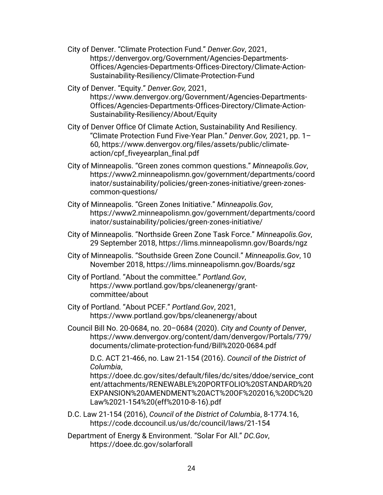- City of Denver. "Climate Protection Fund." *Denver.Gov*, 2021, https://denvergov.org/Government/Agencies-Departments-Offices/Agencies-Departments-Offices-Directory/Climate-Action-Sustainability-Resiliency/Climate-Protection-Fund
- City of Denver. "Equity." *Denver.Gov,* 2021, https://www.denvergov.org/Government/Agencies-Departments-Offices/Agencies-Departments-Offices-Directory/Climate-Action-Sustainability-Resiliency/About/Equity
- City of Denver Office Of Climate Action, Sustainability And Resiliency. "Climate Protection Fund Five-Year Plan." *Denver.Gov,* 2021, pp. 1– 60, https://www.denvergov.org/files/assets/public/climateaction/cpf\_fiveyearplan\_final.pdf
- City of Minneapolis. "Green zones common questions." *Minneapolis.Gov*, https://www2.minneapolismn.gov/government/departments/coord inator/sustainability/policies/green-zones-initiative/green-zonescommon-questions/
- City of Minneapolis. "Green Zones Initiative." *Minneapolis.Gov*, https://www2.minneapolismn.gov/government/departments/coord inator/sustainability/policies/green-zones-initiative/
- City of Minneapolis. "Northside Green Zone Task Force." *Minneapolis.Gov*, 29 September 2018, https://lims.minneapolismn.gov/Boards/ngz
- City of Minneapolis. "Southside Green Zone Council." *Minneapolis.Gov*, 10 November 2018, https://lims.minneapolismn.gov/Boards/sgz
- City of Portland. "About the committee." *Portland.Gov*, https://www.portland.gov/bps/cleanenergy/grantcommittee/about
- City of Portland. "About PCEF." *Portland.Gov*, 2021, https://www.portland.gov/bps/cleanenergy/about
- Council Bill No. 20-0684, no. 20–0684 (2020). *City and County of Denver*, https://www.denvergov.org/content/dam/denvergov/Portals/779/ documents/climate-protection-fund/Bill%2020-0684.pdf

D.C. ACT 21-466, no. Law 21-154 (2016). *Council of [the District of](https://www.zotero.org/google-docs/?zH3Vrd)  [Columbia](https://www.zotero.org/google-docs/?zH3Vrd)*,

[https://doee.dc.gov/sites/default/files/dc/sites/ddoe/service\\_cont](https://doee.dc.gov/sites/default/files/dc/sites/ddoe/service_content/attachments/RENEWABLE%20PORTFOLIO%20STANDARD%20EXPANSION%20AMENDMENT%20ACT%20OF%202016,%20DC%20Law%2021-154%20(eff%2010-8-16).pdf) [ent/attachments/RENEWABLE%20PORTFOLIO%20STANDARD%20](https://doee.dc.gov/sites/default/files/dc/sites/ddoe/service_content/attachments/RENEWABLE%20PORTFOLIO%20STANDARD%20EXPANSION%20AMENDMENT%20ACT%20OF%202016,%20DC%20Law%2021-154%20(eff%2010-8-16).pdf) [EXPANSION%20AMENDMENT%20ACT%20OF%202016,%20DC%20](https://doee.dc.gov/sites/default/files/dc/sites/ddoe/service_content/attachments/RENEWABLE%20PORTFOLIO%20STANDARD%20EXPANSION%20AMENDMENT%20ACT%20OF%202016,%20DC%20Law%2021-154%20(eff%2010-8-16).pdf) [Law%2021-154%20\(eff%2010-8-16\).pdf](https://doee.dc.gov/sites/default/files/dc/sites/ddoe/service_content/attachments/RENEWABLE%20PORTFOLIO%20STANDARD%20EXPANSION%20AMENDMENT%20ACT%20OF%202016,%20DC%20Law%2021-154%20(eff%2010-8-16).pdf)

- D.C. Law 21-154 (2016), *Council of the District of Columbia*, 8-1774.16, https://code.dccouncil.us/us/dc/council/laws/21-154
- Department of Energy & Environment. "Solar For All." *DC.Gov*, https://doee.dc.gov/solarforall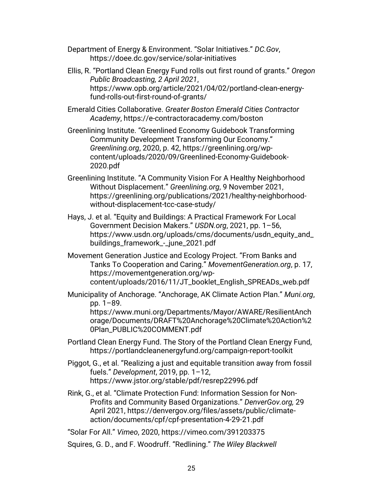- Department of Energy & Environment. "Solar Initiatives." *DC.Gov*, https://doee.dc.gov/service/solar-initiatives
- Ellis, R. "Portland Clean Energy Fund rolls out first round of grants." *Oregon Public Broadcasting, 2 April 2021*, https://www.opb.org/article/2021/04/02/portland-clean-energyfund-rolls-out-first-round-of-grants/
- [Emerald Cities Collaborative.](https://www.zotero.org/google-docs/?zH3Vrd) *Greater Boston Emerald Cities Contractor Academy*, https://e-contractoracademy.com/boston
- Greenlining Institute. "Greenlined Economy Guidebook Transforming Community Development Transforming Our Economy." *Greenlining.org*, 2020, p. 42, https://greenlining.org/wpcontent/uploads/2020/09/Greenlined-Economy-Guidebook-2020.pdf
- [Greenlining Institute.](https://www.zotero.org/google-docs/?zH3Vrd) ["](https://www.zotero.org/google-docs/?zH3Vrd)[A Community Vision For A Healthy Neighborhood](https://www.zotero.org/google-docs/?zH3Vrd)  [Without Displacement](https://www.zotero.org/google-docs/?zH3Vrd)[."](https://www.zotero.org/google-docs/?zH3Vrd) *[Greenlining.org](https://www.zotero.org/google-docs/?zH3Vrd)*[, 9 November 2021,](https://www.zotero.org/google-docs/?zH3Vrd)  [https://greenlining.org/publications/2021/healthy-neighborhood](https://www.zotero.org/google-docs/?zH3Vrd)[without-displacement-tcc-case-study/](https://www.zotero.org/google-docs/?zH3Vrd)
- Hays, J. et al. "Equity and Buildings: A Practical Framework For Local Government Decision Makers." *USDN.org*, 2021, pp. 1–56, https://www.usdn.org/uploads/cms/documents/usdn\_equity\_and\_ buildings\_framework\_-\_june\_2021.pdf
- Movement Generation Justice and Ecology Project. "From Banks and Tanks To Cooperation and Caring." *MovementGeneration.org*, p. 17, https://movementgeneration.org/wpcontent/uploads/2016/11/JT\_booklet\_English\_SPREADs\_web.pdf
- [Municipality of Anchorage.](https://www.zotero.org/google-docs/?zH3Vrd) "Anchorage, AK Climate Action Plan." *[Muni.org](https://www.zotero.org/google-docs/?zH3Vrd)*[,](https://www.zotero.org/google-docs/?zH3Vrd) [pp. 1](https://www.zotero.org/google-docs/?zH3Vrd)–89.

[https://www.muni.org/Departments/Mayor/AWARE/ResilientAnch](https://www.zotero.org/google-docs/?zH3Vrd) [orage/Documents/DRAFT%20Anchorage%20Climate%20Action%2](https://www.zotero.org/google-docs/?zH3Vrd) [0Plan\\_PUBLIC%20COMMENT.pdf](https://www.zotero.org/google-docs/?zH3Vrd)

- Portland Clean Energy Fund. The Story of the Portland Clean Energy Fund, https://portlandcleanenergyfund.org/campaign-report-toolkit
- Piggot, G., et al. "Realizing a just and equitable transition away from fossil fuels." *Development*, 2019, pp. 1–12, https://www.jstor.org/stable/pdf/resrep22996.pdf
- Rink, G., et al. "Climate Protection Fund: Information Session for Non-Profits and Community Based Organizations." *DenverGov.org,* 29 April 2021, https://denvergov.org/files/assets/public/climateaction/documents/cpf/cpf-presentation-4-29-21.pdf

"Solar For All." *Vimeo*, 2020, https://vimeo.com/391203375

Squires, G. D., and F. Woodruff. "Redlining." *The Wiley Blackwell*